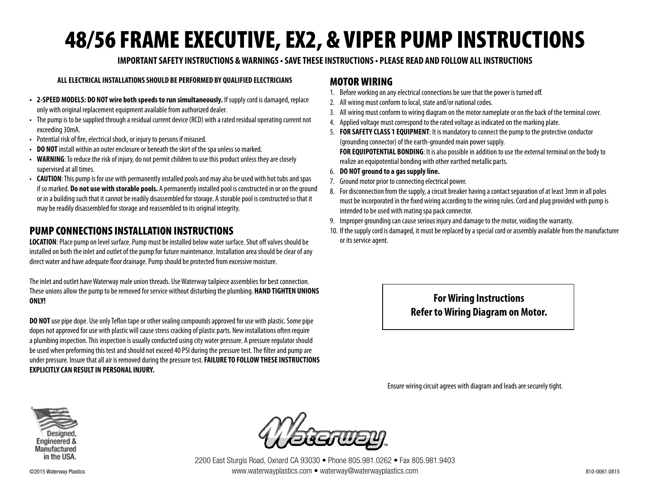# 48/56 FRAME EXECUTIVE, EX2, & VIPER PUMP INSTRUCTIONS

#### **IMPORTANT SAFETY INSTRUCTIONS & WARNINGS • SAVE THESE INSTRUCTIONS • PLEASE READ AND FOLLOW ALL INSTRUCTIONS**

#### **ALL ELECTRICAL INSTALLATIONS SHOULD BE PERFORMED BY QUALIFIED ELECTRICIANS**

- **2-SPEED MODELS: DO NOT wire both speeds to run simultaneously.** If supply cord is damaged, replace only with original replacement equipment available from authorized dealer.
- The pump is to be supplied through a residual current device (RCD) with a rated residual operating current not exceeding 30mA.
- Potential risk of fire, electrical shock, or injury to persons if misused.
- **DO NOT** install within an outer enclosure or beneath the skirt of the spa unless so marked.
- **WARNING**: To reduce the risk of injury, do not permit children to use this product unless they are closely supervised at all times.
- **CAUTION**: This pump is for use with permanently installed pools and may also be used with hot tubs and spas if so marked. **Do not use with storable pools.** A permanently installed pool is constructed in or on the ground or in a building such that it cannot be readily disassembled for storage. A storable pool is constructed so that it may be readily disassembled for storage and reassembled to its original integrity.

## PUMP CONNECTIONS INSTALLATION INSTRUCTIONS

**LOCATION**: Place pump on level surface. Pump must be installed below water surface. Shut off valves should be installed on both the inlet and outlet of the pump for future maintenance. Installation area should be clear of any direct water and have adequate floor drainage. Pump should be protected from excessive moisture.

The inlet and outlet have Waterway male union threads. Use Waterway tailpiece assemblies for best connection. These unions allow the pump to be removed for service without disturbing the plumbing. **HAND TIGHTEN UNIONS ONLY!**

**DO NOT** use pipe dope. Use only Teflon tape or other sealing compounds approved for use with plastic. Some pipe dopes not approved for use with plastic will cause stress cracking of plastic parts. New installations often require a plumbing inspection. This inspection is usually conducted using city water pressure. A pressure regulator should be used when preforming this test and should not exceed 40 PSI during the pressure test. The filter and pump are under pressure. Insure that all air is removed during the pressure test. **FAILURE TO FOLLOW THESE INSTRUCTIONS EXPLICITLY CAN RESULT IN PERSONAL INJURY.**

### MOTOR WIRING

- 1. Before working on any electrical connections be sure that the power is turned off.
- 2. All wiring must conform to local, state and/or national codes.
- 3. All wiring must conform to wiring diagram on the motor nameplate or on the back of the terminal cover.
- 4. Applied voltage must correspond to the rated voltage as indicated on the marking plate.
- 5. **FOR SAFETY CLASS 1 EQUIPMENT**: It is mandatory to connect the pump to the protective conductor (grounding connector) of the earth-grounded main power supply. **FOR EQUIPOTENTIAL BONDING**: It is also possible in addition to use the external terminal on the body to realize an equipotential bonding with other earthed metallic parts.
- 6. **DO NOT ground to a gas supply line.**
- 7. Ground motor prior to connecting electrical power.
- 8. For disconnection from the supply, a circuit breaker having a contact separation of at least 3mm in all poles must be incorporated in the fixed wiring according to the wiring rules. Cord and plug provided with pump is intended to be used with mating spa pack connector.
- 9. Improper grounding can cause serious injury and damage to the motor, voiding the warranty.
- 10. If the supply cord is damaged, it must be replaced by a special cord or assembly available from the manufacturer or its service agent.

# **For Wiring Instructions Refer to Wiring Diagram on Motor.**

Ensure wiring circuit agrees with diagram and leads are securely tight.





2200 East Sturgis Road, Oxnard CA 93030 • Phone 805.981.0262 • Fax 805.981.9403 ©2015 Waterway Plastics www.waterwayplastics.com • waterway@waterwayplastics.com 810-0061.0815